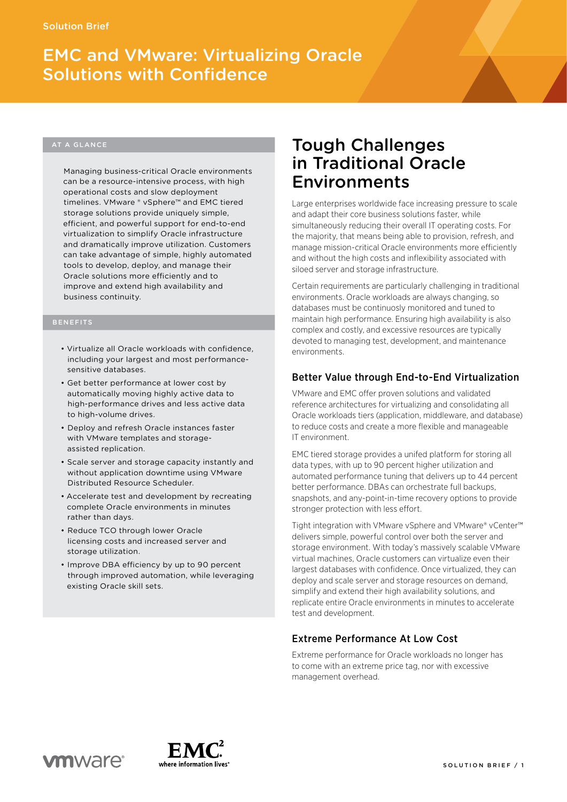# EMC and VMware: Virtualizing Oracle Solutions with Confidence

Managing business-critical Oracle environments can be a resource-intensive process, with high operational costs and slow deployment timelines. VMware ® vSphere™ and EMC tiered storage solutions provide uniquely simple, efficient, and powerful support for end-to-end virtualization to simplify Oracle infrastructure and dramatically improve utilization. Customers can take advantage of simple, highly automated tools to develop, deploy, and manage their Oracle solutions more efficiently and to improve and extend high availability and business continuity.

## BENEFITS

- • Virtualize all Oracle workloads with confidence, including your largest and most performancesensitive databases.
- • Get better performance at lower cost by automatically moving highly active data to high-performance drives and less active data to high-volume drives.
- • Deploy and refresh Oracle instances faster with VMware templates and storageassisted replication.
- • Scale server and storage capacity instantly and without application downtime using VMware Distributed Resource Scheduler.
- • Accelerate test and development by recreating complete Oracle environments in minutes rather than days.
- Reduce TCO through lower Oracle licensing costs and increased server and storage utilization.
- • Improve DBA efficiency by up to 90 percent through improved automation, while leveraging existing Oracle skill sets.

# Tough Challenges in Traditional Oracle Environments

Large enterprises worldwide face increasing pressure to scale and adapt their core business solutions faster, while simultaneously reducing their overall IT operating costs. For the majority, that means being able to provision, refresh, and manage mission-critical Oracle environments more efficiently and without the high costs and inflexibility associated with siloed server and storage infrastructure.

Certain requirements are particularly challenging in traditional environments. Oracle workloads are always changing, so databases must be continuosly monitored and tuned to maintain high performance. Ensuring high availability is also complex and costly, and excessive resources are typically devoted to managing test, development, and maintenance environments.

# Better Value through End-to-End Virtualization

VMware and EMC offer proven solutions and validated reference architectures for virtualizing and consolidating all Oracle workloads tiers (application, middleware, and database) to reduce costs and create a more flexible and manageable IT environment.

EMC tiered storage provides a unifed platform for storing all data types, with up to 90 percent higher utilization and automated performance tuning that delivers up to 44 percent better performance. DBAs can orchestrate full backups, snapshots, and any-point-in-time recovery options to provide stronger protection with less effort.

Tight integration with VMware vSphere and VMware® vCenter™ delivers simple, powerful control over both the server and storage environment. With today's massively scalable VMware virtual machines, Oracle customers can virtualize even their largest databases with confidence. Once virtualized, they can deploy and scale server and storage resources on demand, simplify and extend their high availability solutions, and replicate entire Oracle environments in minutes to accelerate test and development.

# Extreme Performance At Low Cost

Extreme performance for Oracle workloads no longer has to come with an extreme price tag, nor with excessive management overhead.

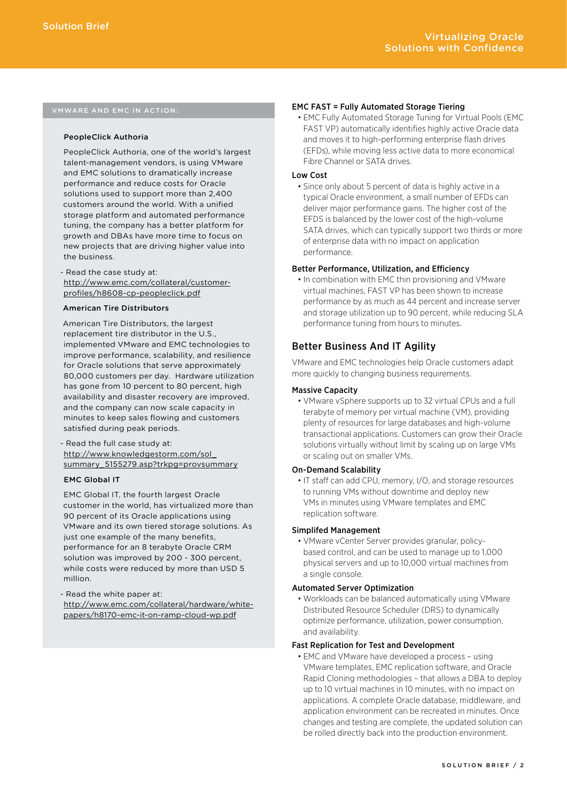# VMware and EMC in Action:

#### PeopleClick Authoria

PeopleClick Authoria, one of the world's largest talent-management vendors, is using VMware and EMC solutions to dramatically increase performance and reduce costs for Oracle solutions used to support more than 2,400 customers around the world. With a unified storage platform and automated performance tuning, the company has a better platform for growth and DBAs have more time to focus on new projects that are driving higher value into the business.

- Read the case study at: [http://www.emc.com/collateral/customer](http://www.emc.com/collateral/customer-profiles/h8608-cp-peopleclick.pdf)profiles/h8608-cp-peopleclick.pdf

# American Tire Distributors

American Tire Distributors, the largest replacement tire distributor in the U.S., implemented VMware and EMC technologies to improve performance, scalability, and resilience for Oracle solutions that serve approximately 80,000 customers per day. Hardware utilization has gone from 10 percent to 80 percent, high availability and disaster recovery are improved, and the company can now scale capacity in minutes to keep sales flowing and customers satisfied during peak periods.

- Read the full case study at: http://www.knowledgestorm.com/sol\_ [summary\\_5155279.asp?trkpg=provsummary](http://www.knowledgestorm.com/sol_summary_5155279.asp?trkpg=provsummary)

#### EMC Global IT

EMC Global IT, the fourth largest Oracle customer in the world, has virtualized more than 90 percent of its Oracle applications using VMware and its own tiered storage solutions. As just one example of the many benefits, performance for an 8 terabyte Oracle CRM solution was improved by 200 - 300 percent, while costs were reduced by more than USD 5 million.

- Read the white paper at: [http://www.emc.com/collateral/hardware/white](http://www.emc.com/collateral/hardware/white-papers/h8170-emc-it-on-ramp-cloud-wp.pdf)papers/h8170-emc-it-on-ramp-cloud-wp.pdf

#### EMC FAST = Fully Automated Storage Tiering

• EMC Fully Automated Storage Tuning for Virtual Pools (EMC FAST VP) automatically identifies highly active Oracle data and moves it to high-performing enterprise flash drives (EFDs), while moving less active data to more economical Fibre Channel or SATA drives.

#### Low Cost

• Since only about 5 percent of data is highly active in a typical Oracle environment, a small number of EFDs can deliver major performance gains. The higher cost of the EFDS is balanced by the lower cost of the high-volume SATA drives, which can typically support two thirds or more of enterprise data with no impact on application performance.

# Better Performance, Utilization, and Efficiency

• In combination with EMC thin provisioning and VMware virtual machines, FAST VP has been shown to increase performance by as much as 44 percent and increase server and storage utilization up to 90 percent, while reducing SLA performance tuning from hours to minutes.

# Better Business And IT Agility

VMware and EMC technologies help Oracle customers adapt more quickly to changing business requirements.

# Massive Capacity

• VMware vSphere supports up to 32 virtual CPUs and a full terabyte of memory per virtual machine (VM), providing plenty of resources for large databases and high-volume transactional applications. Customers can grow their Oracle solutions virtually without limit by scaling up on large VMs or scaling out on smaller VMs.

#### On-Demand Scalability

• IT staff can add CPU, memory, I/O, and storage resources to running VMs without downtime and deploy new VMs in minutes using VMware templates and EMC replication software.

#### Simplifed Management

• VMware vCenter Server provides granular, policybased control, and can be used to manage up to 1,000 physical servers and up to 10,000 virtual machines from a single console.

# Automated Server Optimization

• Workloads can be balanced automatically using VMware Distributed Resource Scheduler (DRS) to dynamically optimize performance, utilization, power consumption, and availability.

# Fast Replication for Test and Development

• EMC and VMware have developed a process – using VMware templates, EMC replication software, and Oracle Rapid Cloning methodologies – that allows a DBA to deploy up to 10 virtual machines in 10 minutes, with no impact on applications. A complete Oracle database, middleware, and application environment can be recreated in minutes. Once changes and testing are complete, the updated solution can be rolled directly back into the production environment.